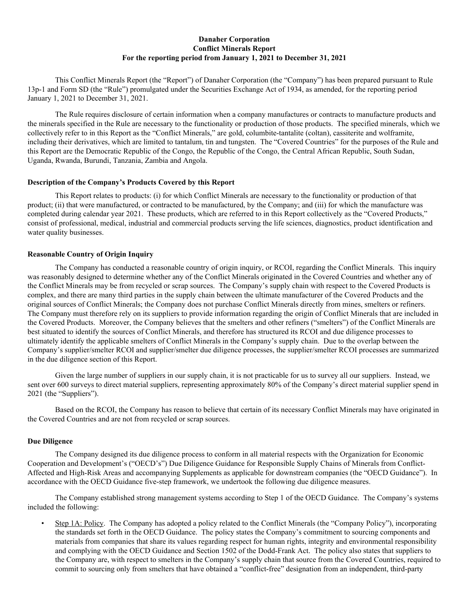## **Danaher Corporation Conflict Minerals Report For the reporting period from January 1, 2021 to December 31, 2021**

This Conflict Minerals Report (the "Report") of Danaher Corporation (the "Company") has been prepared pursuant to Rule 13p-1 and Form SD (the "Rule") promulgated under the Securities Exchange Act of 1934, as amended, for the reporting period January 1, 2021 to December 31, 2021.

The Rule requires disclosure of certain information when a company manufactures or contracts to manufacture products and the minerals specified in the Rule are necessary to the functionality or production of those products. The specified minerals, which we collectively refer to in this Report as the "Conflict Minerals," are gold, columbite-tantalite (coltan), cassiterite and wolframite, including their derivatives, which are limited to tantalum, tin and tungsten. The "Covered Countries" for the purposes of the Rule and this Report are the Democratic Republic of the Congo, the Republic of the Congo, the Central African Republic, South Sudan, Uganda, Rwanda, Burundi, Tanzania, Zambia and Angola.

## **Description of the Company's Products Covered by this Report**

This Report relates to products: (i) for which Conflict Minerals are necessary to the functionality or production of that product; (ii) that were manufactured, or contracted to be manufactured, by the Company; and (iii) for which the manufacture was completed during calendar year 2021. These products, which are referred to in this Report collectively as the "Covered Products," consist of professional, medical, industrial and commercial products serving the life sciences, diagnostics, product identification and water quality businesses.

## **Reasonable Country of Origin Inquiry**

The Company has conducted a reasonable country of origin inquiry, or RCOI, regarding the Conflict Minerals. This inquiry was reasonably designed to determine whether any of the Conflict Minerals originated in the Covered Countries and whether any of the Conflict Minerals may be from recycled or scrap sources. The Company's supply chain with respect to the Covered Products is complex, and there are many third parties in the supply chain between the ultimate manufacturer of the Covered Products and the original sources of Conflict Minerals; the Company does not purchase Conflict Minerals directly from mines, smelters or refiners. The Company must therefore rely on its suppliers to provide information regarding the origin of Conflict Minerals that are included in the Covered Products. Moreover, the Company believes that the smelters and other refiners ("smelters") of the Conflict Minerals are best situated to identify the sources of Conflict Minerals, and therefore has structured its RCOI and due diligence processes to ultimately identify the applicable smelters of Conflict Minerals in the Company's supply chain. Due to the overlap between the Company's supplier/smelter RCOI and supplier/smelter due diligence processes, the supplier/smelter RCOI processes are summarized in the due diligence section of this Report.

Given the large number of suppliers in our supply chain, it is not practicable for us to survey all our suppliers. Instead, we sent over 600 surveys to direct material suppliers, representing approximately 80% of the Company's direct material supplier spend in 2021 (the "Suppliers").

Based on the RCOI, the Company has reason to believe that certain of its necessary Conflict Minerals may have originated in the Covered Countries and are not from recycled or scrap sources.

# **Due Diligence**

The Company designed its due diligence process to conform in all material respects with the Organization for Economic Cooperation and Development's ("OECD's") Due Diligence Guidance for Responsible Supply Chains of Minerals from Conflict-Affected and High-Risk Areas and accompanying Supplements as applicable for downstream companies (the "OECD Guidance"). In accordance with the OECD Guidance five-step framework, we undertook the following due diligence measures.

The Company established strong management systems according to Step 1 of the OECD Guidance. The Company's systems included the following:

• Step 1A: Policy. The Company has adopted a policy related to the Conflict Minerals (the "Company Policy"), incorporating the standards set forth in the OECD Guidance. The policy states the Company's commitment to sourcing components and materials from companies that share its values regarding respect for human rights, integrity and environmental responsibility and complying with the OECD Guidance and Section 1502 of the Dodd-Frank Act. The policy also states that suppliers to the Company are, with respect to smelters in the Company's supply chain that source from the Covered Countries, required to commit to sourcing only from smelters that have obtained a "conflict-free" designation from an independent, third-party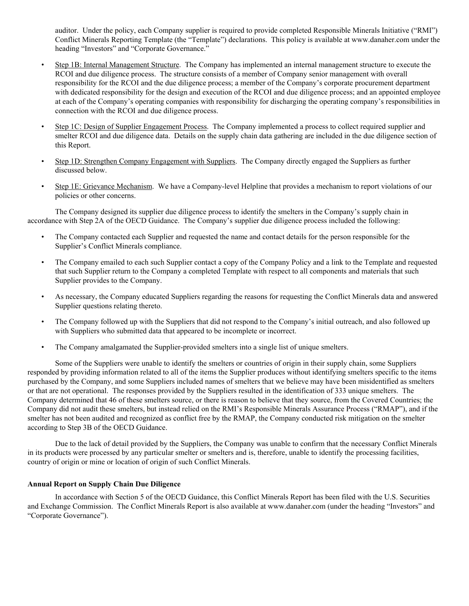auditor. Under the policy, each Company supplier is required to provide completed Responsible Minerals Initiative ("RMI") Conflict Minerals Reporting Template (the "Template") declarations. This policy is available at www.danaher.com under the heading "Investors" and "Corporate Governance."

- Step 1B: Internal Management Structure. The Company has implemented an internal management structure to execute the RCOI and due diligence process. The structure consists of a member of Company senior management with overall responsibility for the RCOI and the due diligence process; a member of the Company's corporate procurement department with dedicated responsibility for the design and execution of the RCOI and due diligence process; and an appointed employee at each of the Company's operating companies with responsibility for discharging the operating company's responsibilities in connection with the RCOI and due diligence process.
- Step 1C: Design of Supplier Engagement Process. The Company implemented a process to collect required supplier and smelter RCOI and due diligence data. Details on the supply chain data gathering are included in the due diligence section of this Report.
- Step 1D: Strengthen Company Engagement with Suppliers. The Company directly engaged the Suppliers as further discussed below.
- Step 1E: Grievance Mechanism. We have a Company-level Helpline that provides a mechanism to report violations of our policies or other concerns.

The Company designed its supplier due diligence process to identify the smelters in the Company's supply chain in accordance with Step 2A of the OECD Guidance. The Company's supplier due diligence process included the following:

- The Company contacted each Supplier and requested the name and contact details for the person responsible for the Supplier's Conflict Minerals compliance.
- The Company emailed to each such Supplier contact a copy of the Company Policy and a link to the Template and requested that such Supplier return to the Company a completed Template with respect to all components and materials that such Supplier provides to the Company.
- As necessary, the Company educated Suppliers regarding the reasons for requesting the Conflict Minerals data and answered Supplier questions relating thereto.
- The Company followed up with the Suppliers that did not respond to the Company's initial outreach, and also followed up with Suppliers who submitted data that appeared to be incomplete or incorrect.
- The Company amalgamated the Supplier-provided smelters into a single list of unique smelters.

Some of the Suppliers were unable to identify the smelters or countries of origin in their supply chain, some Suppliers responded by providing information related to all of the items the Supplier produces without identifying smelters specific to the items purchased by the Company, and some Suppliers included names of smelters that we believe may have been misidentified as smelters or that are not operational. The responses provided by the Suppliers resulted in the identification of 333 unique smelters. The Company determined that 46 of these smelters source, or there is reason to believe that they source, from the Covered Countries; the Company did not audit these smelters, but instead relied on the RMI's Responsible Minerals Assurance Process ("RMAP"), and if the smelter has not been audited and recognized as conflict free by the RMAP, the Company conducted risk mitigation on the smelter according to Step 3B of the OECD Guidance.

Due to the lack of detail provided by the Suppliers, the Company was unable to confirm that the necessary Conflict Minerals in its products were processed by any particular smelter or smelters and is, therefore, unable to identify the processing facilities, country of origin or mine or location of origin of such Conflict Minerals.

#### **Annual Report on Supply Chain Due Diligence**

In accordance with Section 5 of the OECD Guidance, this Conflict Minerals Report has been filed with the U.S. Securities and Exchange Commission. The Conflict Minerals Report is also available at www.danaher.com (under the heading "Investors" and "Corporate Governance").